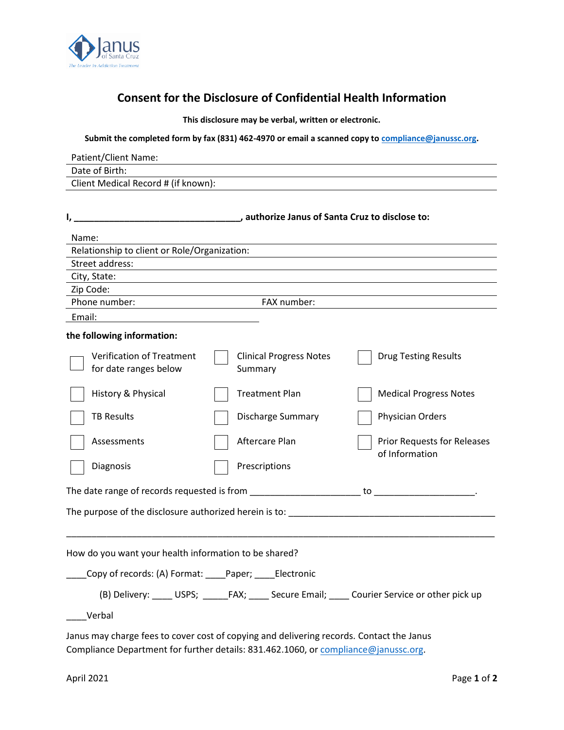

## **Consent for the Disclosure of Confidential Health Information**

**This disclosure may be verbal, written or electronic.**

**Submit the completed form by fax (831) 462-4970 or email a scanned copy to [compliance@janussc.org.](mailto:compliance@janussc.org)** 

| Patient/Client Name:                                                                                                                                                                                                                                                                                                                                                                                                                 |                                                                                                 |  |  |
|--------------------------------------------------------------------------------------------------------------------------------------------------------------------------------------------------------------------------------------------------------------------------------------------------------------------------------------------------------------------------------------------------------------------------------------|-------------------------------------------------------------------------------------------------|--|--|
| Date of Birth:                                                                                                                                                                                                                                                                                                                                                                                                                       |                                                                                                 |  |  |
| Client Medical Record # (if known):                                                                                                                                                                                                                                                                                                                                                                                                  |                                                                                                 |  |  |
|                                                                                                                                                                                                                                                                                                                                                                                                                                      |                                                                                                 |  |  |
|                                                                                                                                                                                                                                                                                                                                                                                                                                      |                                                                                                 |  |  |
| Name:                                                                                                                                                                                                                                                                                                                                                                                                                                |                                                                                                 |  |  |
| Relationship to client or Role/Organization:                                                                                                                                                                                                                                                                                                                                                                                         |                                                                                                 |  |  |
| Street address:                                                                                                                                                                                                                                                                                                                                                                                                                      |                                                                                                 |  |  |
| City, State:                                                                                                                                                                                                                                                                                                                                                                                                                         |                                                                                                 |  |  |
| Zip Code:                                                                                                                                                                                                                                                                                                                                                                                                                            |                                                                                                 |  |  |
| Phone number:<br>$\overline{\phantom{a}}$ and $\overline{\phantom{a}}$ and $\overline{\phantom{a}}$ and $\overline{\phantom{a}}$ and $\overline{\phantom{a}}$ and $\overline{\phantom{a}}$ and $\overline{\phantom{a}}$ and $\overline{\phantom{a}}$ and $\overline{\phantom{a}}$ and $\overline{\phantom{a}}$ and $\overline{\phantom{a}}$ and $\overline{\phantom{a}}$ and $\overline{\phantom{a}}$ and $\overline{\phantom{a}}$ a | FAX number:                                                                                     |  |  |
| Email:                                                                                                                                                                                                                                                                                                                                                                                                                               |                                                                                                 |  |  |
| the following information:                                                                                                                                                                                                                                                                                                                                                                                                           |                                                                                                 |  |  |
| <b>Verification of Treatment</b><br>for date ranges below<br>Summary                                                                                                                                                                                                                                                                                                                                                                 | <b>Clinical Progress Notes</b><br><b>Drug Testing Results</b>                                   |  |  |
| History & Physical                                                                                                                                                                                                                                                                                                                                                                                                                   | <b>Treatment Plan</b><br><b>Medical Progress Notes</b>                                          |  |  |
| <b>TB Results</b>                                                                                                                                                                                                                                                                                                                                                                                                                    | <b>Discharge Summary</b><br>Physician Orders                                                    |  |  |
| Aftercare Plan<br>Assessments                                                                                                                                                                                                                                                                                                                                                                                                        | <b>Prior Requests for Releases</b><br>of Information                                            |  |  |
| Diagnosis<br>Prescriptions                                                                                                                                                                                                                                                                                                                                                                                                           |                                                                                                 |  |  |
|                                                                                                                                                                                                                                                                                                                                                                                                                                      |                                                                                                 |  |  |
|                                                                                                                                                                                                                                                                                                                                                                                                                                      | The purpose of the disclosure authorized herein is to: entitled the purpose of the disclosure   |  |  |
| How do you want your health information to be shared?                                                                                                                                                                                                                                                                                                                                                                                |                                                                                                 |  |  |
| Copy of records: (A) Format: ____Paper; ____Electronic                                                                                                                                                                                                                                                                                                                                                                               |                                                                                                 |  |  |
|                                                                                                                                                                                                                                                                                                                                                                                                                                      | (B) Delivery: _____ USPS; ______FAX; _____ Secure Email; _____ Courier Service or other pick up |  |  |
| Verbal                                                                                                                                                                                                                                                                                                                                                                                                                               |                                                                                                 |  |  |
| Janus may charge fees to cover cost of copying and delivering records. Contact the Janus                                                                                                                                                                                                                                                                                                                                             |                                                                                                 |  |  |

Compliance Department for further details: 831.462.1[060, or compliance@janus](mailto:compliance@janussc.org)sc.org.